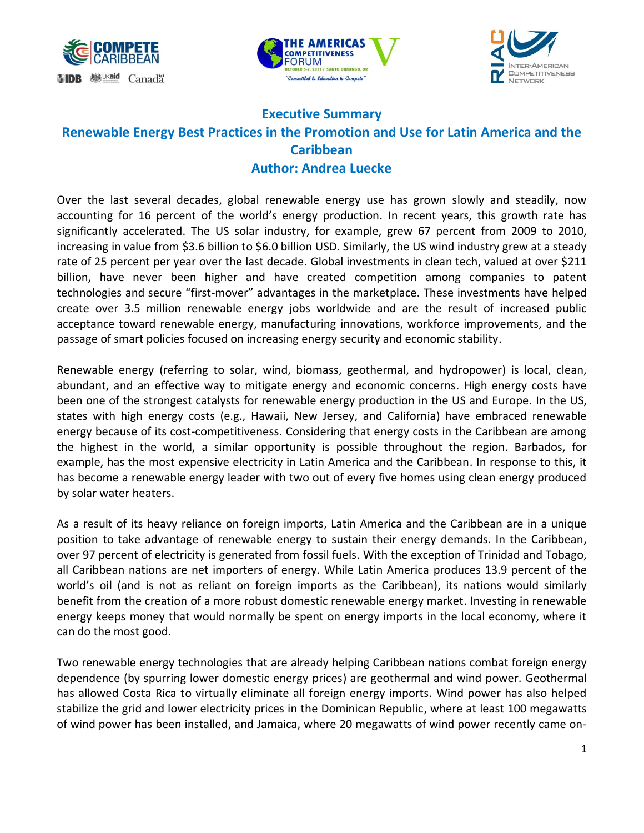





## **Executive Summary Renewable Energy Best Practices in the Promotion and Use for Latin America and the Caribbean Author: Andrea Luecke**

Over the last several decades, global renewable energy use has grown slowly and steadily, now accounting for 16 percent of the world's energy production. In recent years, this growth rate has significantly accelerated. The US solar industry, for example, grew 67 percent from 2009 to 2010, increasing in value from \$3.6 billion to \$6.0 billion USD. Similarly, the US wind industry grew at a steady rate of 25 percent per year over the last decade. Global investments in clean tech, valued at over \$211 billion, have never been higher and have created competition among companies to patent technologies and secure "first-mover" advantages in the marketplace. These investments have helped create over 3.5 million renewable energy jobs worldwide and are the result of increased public acceptance toward renewable energy, manufacturing innovations, workforce improvements, and the passage of smart policies focused on increasing energy security and economic stability.

Renewable energy (referring to solar, wind, biomass, geothermal, and hydropower) is local, clean, abundant, and an effective way to mitigate energy and economic concerns. High energy costs have been one of the strongest catalysts for renewable energy production in the US and Europe. In the US, states with high energy costs (e.g., Hawaii, New Jersey, and California) have embraced renewable energy because of its cost-competitiveness. Considering that energy costs in the Caribbean are among the highest in the world, a similar opportunity is possible throughout the region. Barbados, for example, has the most expensive electricity in Latin America and the Caribbean. In response to this, it has become a renewable energy leader with two out of every five homes using clean energy produced by solar water heaters.

As a result of its heavy reliance on foreign imports, Latin America and the Caribbean are in a unique position to take advantage of renewable energy to sustain their energy demands. In the Caribbean, over 97 percent of electricity is generated from fossil fuels. With the exception of Trinidad and Tobago, all Caribbean nations are net importers of energy. While Latin America produces 13.9 percent of the world's oil (and is not as reliant on foreign imports as the Caribbean), its nations would similarly benefit from the creation of a more robust domestic renewable energy market. Investing in renewable energy keeps money that would normally be spent on energy imports in the local economy, where it can do the most good.

Two renewable energy technologies that are already helping Caribbean nations combat foreign energy dependence (by spurring lower domestic energy prices) are geothermal and wind power. Geothermal has allowed Costa Rica to virtually eliminate all foreign energy imports. Wind power has also helped stabilize the grid and lower electricity prices in the Dominican Republic, where at least 100 megawatts of wind power has been installed, and Jamaica, where 20 megawatts of wind power recently came on-